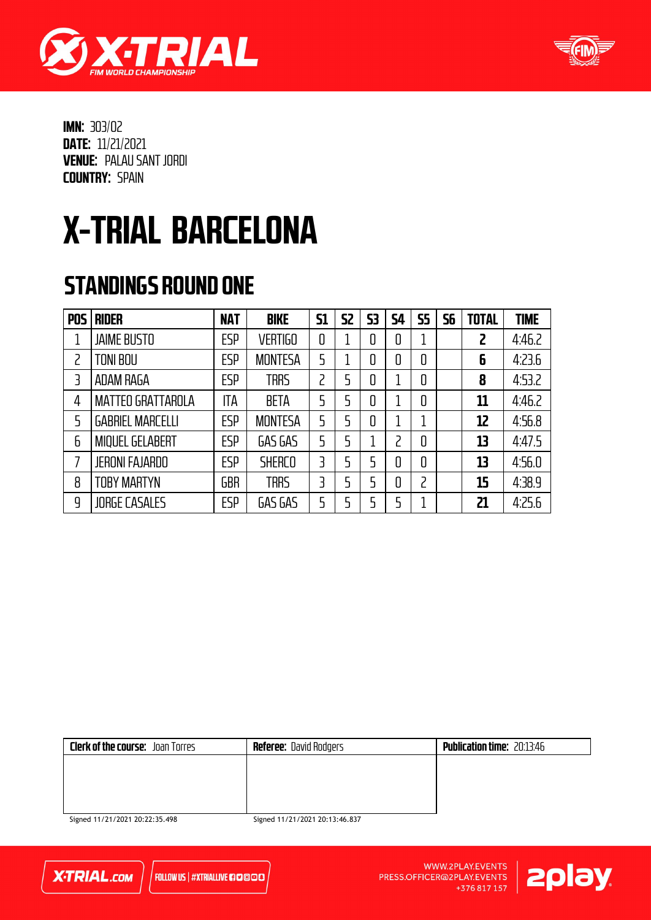



## X-TRIAL BARCELONA

### STANDINGS ROUND ONE

| <b>POS</b> | <b>RIDER</b>             | <b>NAT</b> | <b>BIKE</b>    | <b>S1</b> | 52 | 53 | 54 | <b>S5</b> | 56 | <b>TOTAL</b> | <b>TIME</b> |
|------------|--------------------------|------------|----------------|-----------|----|----|----|-----------|----|--------------|-------------|
|            | <b>JAIME BUSTO</b>       | <b>ESP</b> | <b>VERTIGO</b> | 0         |    |    | 0  |           |    | 2            | 4:46.2      |
|            | <b>TONI BOU</b>          | <b>ESP</b> | <b>MONTESA</b> | 5         |    | 0  | 0  | 0         |    | 6            | 4:23.6      |
| 3          | ADAM RAGA                | ESP        | <b>TRRS</b>    | 2         | 5  | 0  |    | 0         |    | 8            | 4:53.2      |
| 4          | <b>MATTEO GRATTAROLA</b> | ITA        | <b>BETA</b>    | 5         | 5  |    |    | 0         |    | 11           | 4:46.2      |
| 5          | <b>GABRIEL MARCELLI</b>  | <b>ESP</b> | <b>MONTESA</b> | 5         | 5  | 0  |    | 1         |    | 12           | 4:56.8      |
| 6          | <b>MIQUEL GELABERT</b>   | <b>ESP</b> | GAS GAS        | 5         | 5  |    |    | 0         |    | 13           | 4:47.5      |
|            | <b>JERONI FAJARDO</b>    | ESP        | <b>SHERCO</b>  | 3         | 5  | 5  | 0  | 0         |    | 13           | 4:56.0      |
| 8          | <b>TOBY MARTYN</b>       | <b>GBR</b> | <b>TRRS</b>    | 3         | 5  | 5  | 0  | 2         |    | 15           | 4:38.9      |
| 9          | <b>JORGE CASALES</b>     | ESP        | GAS GAS        | 5         | 5  | 5  |    | 1         |    | 21           | 4:25.6      |

| <b>Clerk of the course:</b> Joan Torres | <b>Referee:</b> David Rodgers | <b>Publication time: 20:13:46</b> |
|-----------------------------------------|-------------------------------|-----------------------------------|
|                                         |                               |                                   |
|                                         |                               |                                   |
|                                         |                               |                                   |
|                                         |                               |                                   |

Signed 11/21/2021 20:22:35.498



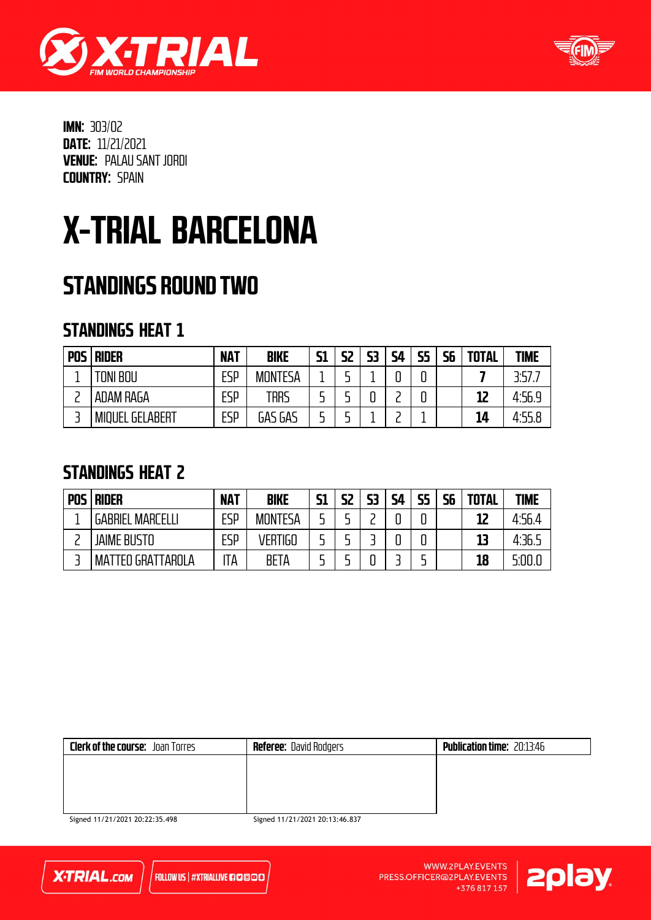



## X-TRIAL BARCELONA

### STANDINGS ROUND TWO

#### STANDINGS HEAT 1

| <b>POS</b> | <b>RIDER</b>           | <b>NAT</b> | <b>BIKE</b>    | <b>S1</b> | 52 | 53 | <b>S4</b> | <b>S5</b> | <b>S6</b> | <b>TOTAL</b> | <b>TIME</b> |
|------------|------------------------|------------|----------------|-----------|----|----|-----------|-----------|-----------|--------------|-------------|
|            | <b>TONI BOU</b>        | ESP        | <b>MONTESA</b> |           |    |    |           | n         |           |              | 3.57.       |
|            | ADAM RAGA              | <b>ESP</b> | trrs           |           |    | u  |           |           |           | 12           | 4:56.9      |
|            | <b>MIQUEL GELABERT</b> | ESP        | GAS GAS        |           |    |    |           |           |           | 14           | 4.55.8      |

### STANDINGS HEAT 2

| <b>POS</b> | <b>RIDER</b>                     | <b>NAT</b> | <b>BIKE</b>    | <b>S1</b> | S2 | 53 | <b>S4</b> | cЕ | 56 | <b>TOTAL</b> | <b>TIME</b> |
|------------|----------------------------------|------------|----------------|-----------|----|----|-----------|----|----|--------------|-------------|
|            | <b>MARCELL</b><br><b>GABRIEL</b> | ESP        | <b>MONTESA</b> |           |    |    |           |    |    | 12           | 4:56.4      |
|            | <b>JAIME BUSTO</b>               | ESP        | <b>VERTIGO</b> |           |    |    |           |    |    | 13           | 4:36.5      |
|            | <b>MATTEO GRATTAROLA</b>         | ΊA         | <b>BETA</b>    |           |    |    |           |    |    | 18           | 5:00.0      |

| <b>Clerk of the course:</b> Joan Torres | <b>Referee:</b> David Rodgers | <b>Publication time: 20:13:46</b> |
|-----------------------------------------|-------------------------------|-----------------------------------|
|                                         |                               |                                   |
|                                         |                               |                                   |
|                                         |                               |                                   |
| $C = 44.124.12024.2037775.409$          | 5.2224412412242242343347677   |                                   |

Signed 11/21/2021 20:22:35.498



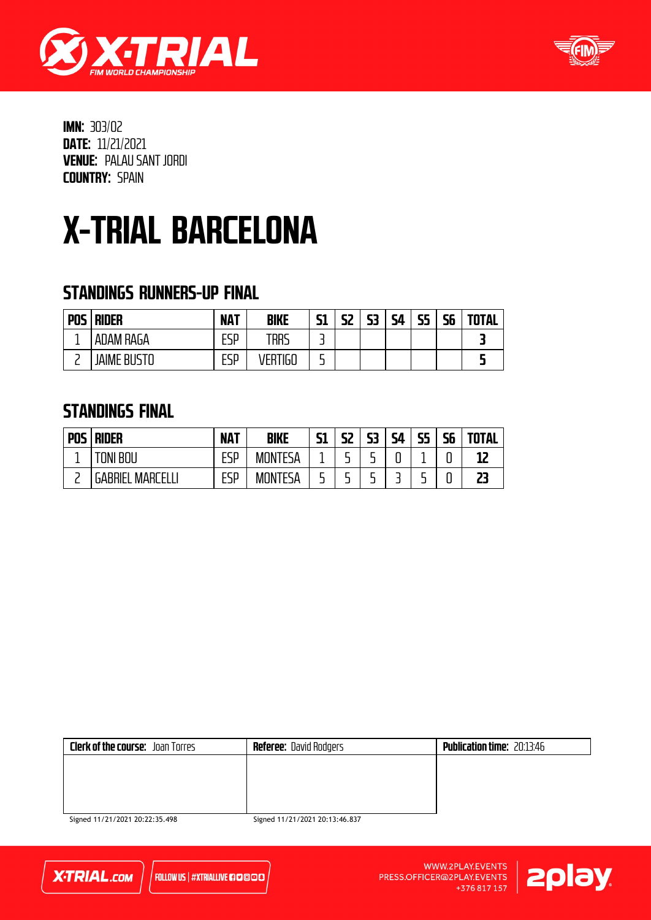



### X-TRIAL BARCELONA

#### STANDINGS RUNNERS-UP FINAL

| <b>POS</b> | <b>RIDER</b>    | <b>NAT</b> | <b>BIKE</b>  | 51 | 52 | 53 | 54 | 55<br>-- | cс<br>סכ | <b>TOTAL</b> |
|------------|-----------------|------------|--------------|----|----|----|----|----------|----------|--------------|
|            | ADAM RAGA       | ᄄᄗ<br>ட⊐ா  | trrs         | -  |    |    |    |          |          |              |
|            | JAIME<br>: RIIS | FCD<br>ட⊐ா | 160<br>./FR* | -  |    |    |    |          |          |              |

#### STANDINGS FINAL

| <b>POS</b> | <b>RIDER</b>            | <b>NAT</b> | <b>BIKE</b> | F1<br>ЭT | 52     | C <sub>2</sub><br>ננ | ςд<br>┙╹ | <b>CE</b><br>. . | 56 | <b>TOTAL</b> |
|------------|-------------------------|------------|-------------|----------|--------|----------------------|----------|------------------|----|--------------|
|            | BOU<br>JNI              | FCD<br>டபா | MONTESA     |          | -      | -                    | ┍<br>u   |                  | u  | -LL          |
| −          | GABRIEL<br>MARL<br>TEL. | ESP        | MONTESA     | -<br>-   | -<br>- | -                    |          |                  | u  | רר           |

| <b>Clerk of the course:</b> Joan Torres | <b>Referee:</b> David Rodgers | <b>Publication time: 20:13:46</b> |
|-----------------------------------------|-------------------------------|-----------------------------------|
|                                         |                               |                                   |
|                                         |                               |                                   |
|                                         |                               |                                   |
|                                         |                               |                                   |

Signed 11/21/2021 20:22:35.498



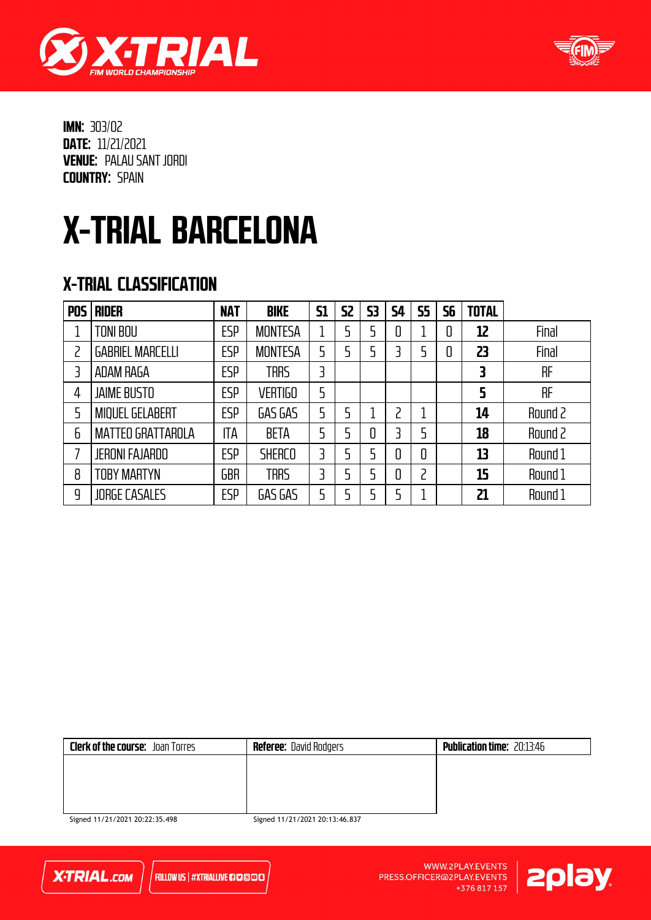



### X-TRIAL BARCELONA

#### X-TRIAL CLASSIFICATION

| <b>POS</b> | <b>RIDER</b>             | <b>NAT</b> | <b>BIKE</b>    | <b>S1</b> | 52 | 53 | 54 | <b>S5</b> | 56 | <b>TOTAL</b> |         |
|------------|--------------------------|------------|----------------|-----------|----|----|----|-----------|----|--------------|---------|
|            | TONI BOU                 | <b>ESP</b> | <b>MONTESA</b> |           | 5  |    | 0  |           | 0  | 12           | Final   |
| 2          | <b>GABRIEL MARCELLI</b>  | <b>ESP</b> | <b>MONTESA</b> | 5         | 5  |    | 3  |           | 0  | 23           | Final   |
| 3          | ADAM RAGA                | <b>ESP</b> | <b>TRRS</b>    | 3         |    |    |    |           |    | 3            | RF      |
| 4          | <b>JAIME BUSTO</b>       | ESP        | <b>VERTIGO</b> | 5         |    |    |    |           |    | 5            | RF      |
| 5          | <b>MIQUEL GELABERT</b>   | <b>ESP</b> | GAS GAS        | 5         | 5  |    | っ  |           |    | 14           | Round 2 |
| 6          | <b>MATTEO GRATTAROLA</b> | ITA        | <b>BETA</b>    | 5         | 5  | 0  | ₹  | 5         |    | 18           | Round 2 |
| 7          | <b>JERONI FAJARDO</b>    | <b>ESP</b> | <b>SHERCO</b>  | 3         | 5  |    | 0  | 0         |    | 13           | Round 1 |
| 8          | TOBY MARTYN              | <b>GBR</b> | <b>TRRS</b>    | 3         | 5  | 5  | 0  | ר         |    | 15           | Round 1 |
| 9          | <b>JORGE CASALES</b>     | <b>ESP</b> | GAS GAS        | 5         | 5  | 5  |    |           |    | 21           | Round 1 |

| <b>Clerk of the course:</b> Joan Torres | <b>Referee:</b> David Rodgers | <b>Publication time: 20:13:46</b> |
|-----------------------------------------|-------------------------------|-----------------------------------|
|                                         |                               |                                   |
|                                         |                               |                                   |
|                                         |                               |                                   |
|                                         |                               |                                   |

Signed 11/21/2021 20:22:35.498